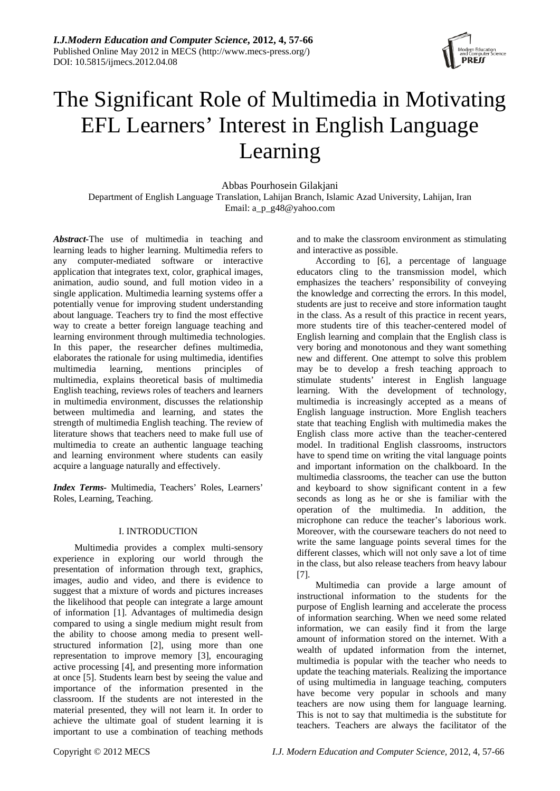

# The Significant Role of Multimedia in Motivating EFL Learners' Interest in English Language Learning

Abbas Pourhosein Gilakjani Department of English Language Translation, Lahijan Branch, Islamic Azad University, Lahijan, Iran Email: a\_p\_g48@yahoo.com

*Abstract-*The use of multimedia in teaching and learning leads to higher learning. Multimedia refers to any computer-mediated software or interactive application that integrates text, color, graphical images, animation, audio sound, and full motion video in a single application. Multimedia learning systems offer a potentially venue for improving student understanding about language. Teachers try to find the most effective way to create a better foreign language teaching and learning environment through multimedia technologies. In this paper, the researcher defines multimedia, elaborates the rationale for using multimedia, identifies multimedia learning, mentions principles of multimedia, explains theoretical basis of multimedia English teaching, reviews roles of teachers and learners in multimedia environment, discusses the relationship between multimedia and learning, and states the strength of multimedia English teaching. The review of literature shows that teachers need to make full use of multimedia to create an authentic language teaching and learning environment where students can easily acquire a language naturally and effectively.

*Index Terms-* Multimedia, Teachers' Roles, Learners' Roles, Learning, Teaching.

# I. INTRODUCTION

 Multimedia provides a complex multi-sensory experience in exploring our world through the presentation of information through text, graphics, images, audio and video, and there is evidence to suggest that a mixture of words and pictures increases the likelihood that people can integrate a large amount of information [1]. Advantages of multimedia design compared to using a single medium might result from the ability to choose among media to present wellstructured information [2], using more than one representation to improve memory [3], encouraging active processing [4], and presenting more information at once [5]. Students learn best by seeing the value and importance of the information presented in the classroom. If the students are not interested in the material presented, they will not learn it. In order to achieve the ultimate goal of student learning it is important to use a combination of teaching methods

and to make the classroom environment as stimulating and interactive as possible.

According to [6], a percentage of language educators cling to the transmission model, which emphasizes the teachers' responsibility of conveying the knowledge and correcting the errors. In this model, students are just to receive and store information taught in the class. As a result of this practice in recent years, more students tire of this teacher-centered model of English learning and complain that the English class is very boring and monotonous and they want something new and different. One attempt to solve this problem may be to develop a fresh teaching approach to stimulate students' interest in English language learning. With the development of technology, multimedia is increasingly accepted as a means of English language instruction. More English teachers state that teaching English with multimedia makes the English class more active than the teacher-centered model. In traditional English classrooms, instructors have to spend time on writing the vital language points and important information on the chalkboard. In the multimedia classrooms, the teacher can use the button and keyboard to show significant content in a few seconds as long as he or she is familiar with the operation of the multimedia. In addition, the microphone can reduce the teacher's laborious work. Moreover, with the courseware teachers do not need to write the same language points several times for the different classes, which will not only save a lot of time in the class, but also release teachers from heavy labour [7].

Multimedia can provide a large amount of instructional information to the students for the purpose of English learning and accelerate the process of information searching. When we need some related information, we can easily find it from the large amount of information stored on the internet. With a wealth of updated information from the internet, multimedia is popular with the teacher who needs to update the teaching materials. Realizing the importance of using multimedia in language teaching, computers have become very popular in schools and many teachers are now using them for language learning. This is not to say that multimedia is the substitute for teachers. Teachers are always the facilitator of the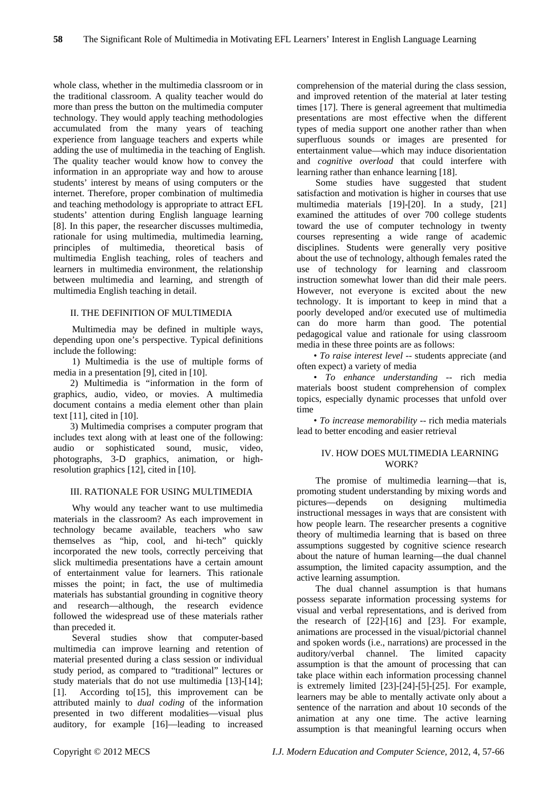whole class, whether in the multimedia classroom or in the traditional classroom. A quality teacher would do more than press the button on the multimedia computer technology. They would apply teaching methodologies accumulated from the many years of teaching experience from language teachers and experts while adding the use of multimedia in the teaching of English. The quality teacher would know how to convey the information in an appropriate way and how to arouse students' interest by means of using computers or the internet. Therefore, proper combination of multimedia and teaching methodology is appropriate to attract EFL students' attention during English language learning [8]. In this paper, the researcher discusses multimedia, rationale for using multimedia, multimedia learning, principles of multimedia, theoretical basis of multimedia English teaching, roles of teachers and learners in multimedia environment, the relationship between multimedia and learning, and strength of multimedia English teaching in detail.

# II. THE DEFINITION OF MULTIMEDIA

Multimedia may be defined in multiple ways, depending upon one's perspective. Typical definitions include the following:

 1) Multimedia is the use of multiple forms of media in a presentation [9], cited in [10].

2) Multimedia is "information in the form of graphics, audio, video, or movies. A multimedia document contains a media element other than plain text [11], cited in [10].

3) Multimedia comprises a computer program that includes text along with at least one of the following: audio or sophisticated sound, music, video, photographs, 3-D graphics, animation, or highresolution graphics [12], cited in [10].

# III. RATIONALE FOR USING MULTIMEDIA

Why would any teacher want to use multimedia materials in the classroom? As each improvement in technology became available, teachers who saw themselves as "hip, cool, and hi-tech" quickly incorporated the new tools, correctly perceiving that slick multimedia presentations have a certain amount of entertainment value for learners. This rationale misses the point; in fact, the use of multimedia materials has substantial grounding in cognitive theory and research—although, the research evidence followed the widespread use of these materials rather than preceded it.

Several studies show that computer-based multimedia can improve learning and retention of material presented during a class session or individual study period, as compared to "traditional" lectures or study materials that do not use multimedia [13]-[14]; [1]. According to[15], this improvement can be attributed mainly to *dual coding* of the information presented in two different modalities—visual plus auditory, for example [16]—leading to increased

comprehension of the material during the class session, and improved retention of the material at later testing times [17]. There is general agreement that multimedia presentations are most effective when the different types of media support one another rather than when superfluous sounds or images are presented for entertainment value—which may induce disorientation and *cognitive overload* that could interfere with learning rather than enhance learning [18].

Some studies have suggested that student satisfaction and motivation is higher in courses that use multimedia materials [19]-[20]. In a study, [21] examined the attitudes of over 700 college students toward the use of computer technology in twenty courses representing a wide range of academic disciplines. Students were generally very positive about the use of technology, although females rated the use of technology for learning and classroom instruction somewhat lower than did their male peers. However, not everyone is excited about the new technology. It is important to keep in mind that a poorly developed and/or executed use of multimedia can do more harm than good. The potential pedagogical value and rationale for using classroom media in these three points are as follows:

• *To raise interest level* -- students appreciate (and often expect) a variety of media

• *To enhance understanding* -- rich media materials boost student comprehension of complex topics, especially dynamic processes that unfold over time

• *To increase memorability* -- rich media materials lead to better encoding and easier retrieval

#### IV. HOW DOES MULTIMEDIA LEARNING WORK?

The promise of multimedia learning—that is, promoting student understanding by mixing words and pictures—depends on designing multimedia instructional messages in ways that are consistent with how people learn. The researcher presents a cognitive theory of multimedia learning that is based on three assumptions suggested by cognitive science research about the nature of human learning—the dual channel assumption, the limited capacity assumption, and the active learning assumption.

The dual channel assumption is that humans possess separate information processing systems for visual and verbal representations, and is derived from the research of  $[22]$ - $[16]$  and  $[23]$ . For example, animations are processed in the visual/pictorial channel and spoken words (i.e., narrations) are processed in the auditory/verbal channel. The limited capacity assumption is that the amount of processing that can take place within each information processing channel is extremely limited [23]-[24]-[5]-[25]. For example, learners may be able to mentally activate only about a sentence of the narration and about 10 seconds of the animation at any one time. The active learning assumption is that meaningful learning occurs when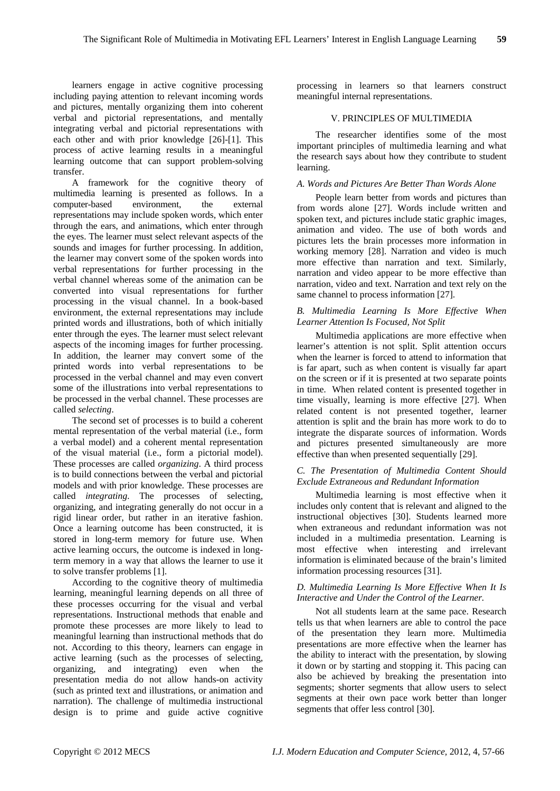learners engage in active cognitive processing including paying attention to relevant incoming words and pictures, mentally organizing them into coherent verbal and pictorial representations, and mentally integrating verbal and pictorial representations with each other and with prior knowledge [26]-[1]. This process of active learning results in a meaningful learning outcome that can support problem-solving transfer.

A framework for the cognitive theory of multimedia learning is presented as follows. In a computer-based environment, the external representations may include spoken words, which enter through the ears, and animations, which enter through the eyes. The learner must select relevant aspects of the sounds and images for further processing. In addition, the learner may convert some of the spoken words into verbal representations for further processing in the verbal channel whereas some of the animation can be converted into visual representations for further processing in the visual channel. In a book-based environment, the external representations may include printed words and illustrations, both of which initially enter through the eyes. The learner must select relevant aspects of the incoming images for further processing. In addition, the learner may convert some of the printed words into verbal representations to be processed in the verbal channel and may even convert some of the illustrations into verbal representations to be processed in the verbal channel. These processes are called *selecting*.

The second set of processes is to build a coherent mental representation of the verbal material (i.e., form a verbal model) and a coherent mental representation of the visual material (i.e., form a pictorial model). These processes are called *organizing*. A third process is to build connections between the verbal and pictorial models and with prior knowledge. These processes are called *integrating*. The processes of selecting, organizing, and integrating generally do not occur in a rigid linear order, but rather in an iterative fashion. Once a learning outcome has been constructed, it is stored in long-term memory for future use. When active learning occurs, the outcome is indexed in longterm memory in a way that allows the learner to use it to solve transfer problems [1].

According to the cognitive theory of multimedia learning, meaningful learning depends on all three of these processes occurring for the visual and verbal representations. Instructional methods that enable and promote these processes are more likely to lead to meaningful learning than instructional methods that do not. According to this theory, learners can engage in active learning (such as the processes of selecting, organizing, and integrating) even when the presentation media do not allow hands-on activity (such as printed text and illustrations, or animation and narration). The challenge of multimedia instructional design is to prime and guide active cognitive

processing in learners so that learners construct meaningful internal representations.

# V. PRINCIPLES OF MULTIMEDIA

The researcher identifies some of the most important principles of multimedia learning and what the research says about how they contribute to student learning.

#### *A. Words and Pictures Are Better Than Words Alone*

People learn better from words and pictures than from words alone [27]. Words include written and spoken text, and pictures include static graphic images, animation and video. The use of both words and pictures lets the brain processes more information in working memory [28]. Narration and video is much more effective than narration and text. Similarly, narration and video appear to be more effective than narration, video and text. Narration and text rely on the same channel to process information [27].

#### *B. Multimedia Learning Is More Effective When Learner Attention Is Focused, Not Split*

Multimedia applications are more effective when learner's attention is not split. Split attention occurs when the learner is forced to attend to information that is far apart, such as when content is visually far apart on the screen or if it is presented at two separate points in time. When related content is presented together in time visually, learning is more effective [27]. When related content is not presented together, learner attention is split and the brain has more work to do to integrate the disparate sources of information. Words and pictures presented simultaneously are more effective than when presented sequentially [29].

# *C. The Presentation of Multimedia Content Should Exclude Extraneous and Redundant Information*

Multimedia learning is most effective when it includes only content that is relevant and aligned to the instructional objectives [30]. Students learned more when extraneous and redundant information was not included in a multimedia presentation. Learning is most effective when interesting and irrelevant information is eliminated because of the brain's limited information processing resources [31].

#### *D. Multimedia Learning Is More Effective When It Is Interactive and Under the Control of the Learner.*

Not all students learn at the same pace. Research tells us that when learners are able to control the pace of the presentation they learn more. Multimedia presentations are more effective when the learner has the ability to interact with the presentation, by slowing it down or by starting and stopping it. This pacing can also be achieved by breaking the presentation into segments; shorter segments that allow users to select segments at their own pace work better than longer segments that offer less control [30].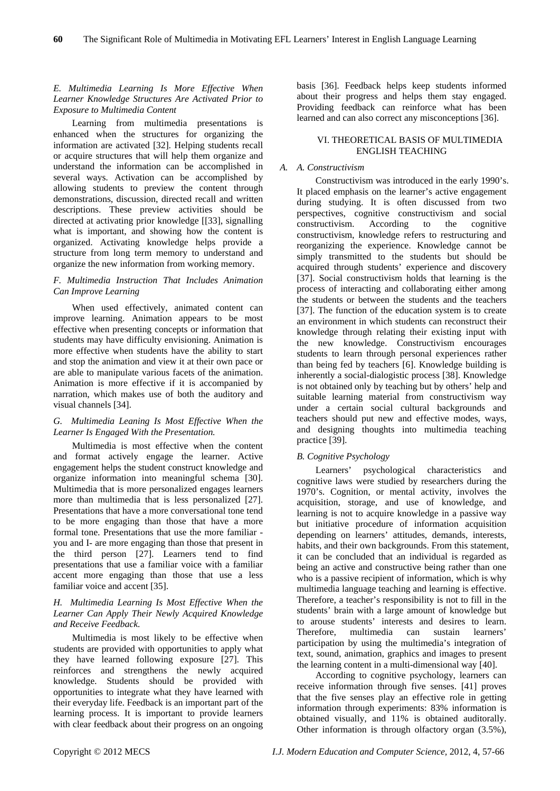# *E. Multimedia Learning Is More Effective When Learner Knowledge Structures Are Activated Prior to Exposure to Multimedia Content*

Learning from multimedia presentations is enhanced when the structures for organizing the information are activated [32]. Helping students recall or acquire structures that will help them organize and understand the information can be accomplished in several ways. Activation can be accomplished by allowing students to preview the content through demonstrations, discussion, directed recall and written descriptions. These preview activities should be directed at activating prior knowledge [[33], signalling what is important, and showing how the content is organized. Activating knowledge helps provide a structure from long term memory to understand and organize the new information from working memory.

# *F. Multimedia Instruction That Includes Animation Can Improve Learning*

When used effectively, animated content can improve learning. Animation appears to be most effective when presenting concepts or information that students may have difficulty envisioning. Animation is more effective when students have the ability to start and stop the animation and view it at their own pace or are able to manipulate various facets of the animation. Animation is more effective if it is accompanied by narration, which makes use of both the auditory and visual channels [34].

# *G. Multimedia Leaning Is Most Effective When the Learner Is Engaged With the Presentation.*

Multimedia is most effective when the content and format actively engage the learner. Active engagement helps the student construct knowledge and organize information into meaningful schema [30]. Multimedia that is more personalized engages learners more than multimedia that is less personalized [27]. Presentations that have a more conversational tone tend to be more engaging than those that have a more formal tone. Presentations that use the more familiar you and I- are more engaging than those that present in the third person [27]. Learners tend to find presentations that use a familiar voice with a familiar accent more engaging than those that use a less familiar voice and accent [35].

# *H. Multimedia Learning Is Most Effective When the Learner Can Apply Their Newly Acquired Knowledge and Receive Feedback.*

Multimedia is most likely to be effective when students are provided with opportunities to apply what they have learned following exposure [27]. This reinforces and strengthens the newly acquired knowledge. Students should be provided with opportunities to integrate what they have learned with their everyday life. Feedback is an important part of the learning process. It is important to provide learners with clear feedback about their progress on an ongoing

basis [36]. Feedback helps keep students informed about their progress and helps them stay engaged. Providing feedback can reinforce what has been learned and can also correct any misconceptions [36].

# VI. THEORETICAL BASIS OF MULTIMEDIA ENGLISH TEACHING

# *A. A. Constructivism*

Constructivism was introduced in the early 1990's. It placed emphasis on the learner's active engagement during studying. It is often discussed from two perspectives, cognitive constructivism and social constructivism. According to the cognitive constructivism, knowledge refers to restructuring and reorganizing the experience. Knowledge cannot be simply transmitted to the students but should be acquired through students' experience and discovery [37]. Social constructivism holds that learning is the process of interacting and collaborating either among the students or between the students and the teachers [37]. The function of the education system is to create an environment in which students can reconstruct their knowledge through relating their existing input with the new knowledge. Constructivism encourages students to learn through personal experiences rather than being fed by teachers [6]. Knowledge building is inherently a social-dialogistic process [38]. Knowledge is not obtained only by teaching but by others' help and suitable learning material from constructivism way under a certain social cultural backgrounds and teachers should put new and effective modes, ways, and designing thoughts into multimedia teaching practice [39].

# *B. Cognitive Psychology*

Learners' psychological characteristics and cognitive laws were studied by researchers during the 1970's. Cognition, or mental activity, involves the acquisition, storage, and use of knowledge, and learning is not to acquire knowledge in a passive way but initiative procedure of information acquisition depending on learners' attitudes, demands, interests, habits, and their own backgrounds. From this statement, it can be concluded that an individual is regarded as being an active and constructive being rather than one who is a passive recipient of information, which is why multimedia language teaching and learning is effective. Therefore, a teacher's responsibility is not to fill in the students' brain with a large amount of knowledge but to arouse students' interests and desires to learn. Therefore, multimedia can sustain learners' participation by using the multimedia's integration of text, sound, animation, graphics and images to present the learning content in a multi-dimensional way [40].

According to cognitive psychology, learners can receive information through five senses. [41] proves that the five senses play an effective role in getting information through experiments: 83% information is obtained visually, and 11% is obtained auditorally. Other information is through olfactory organ (3.5%),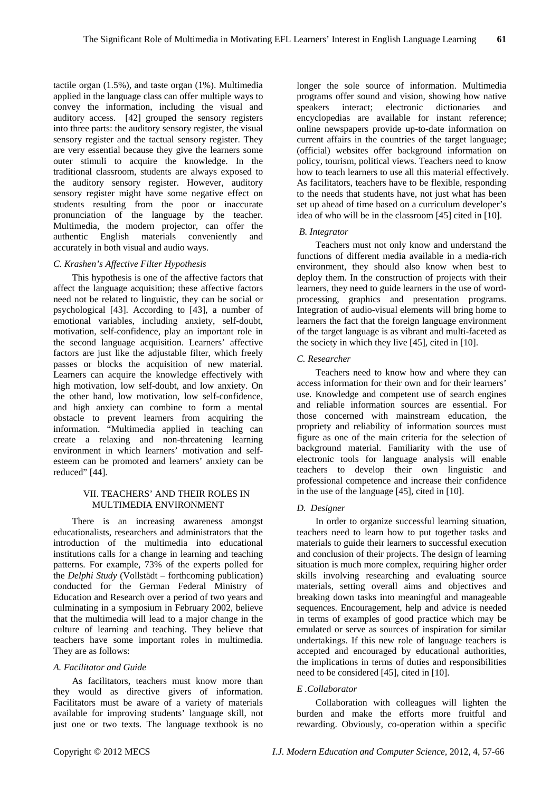tactile organ (1.5%), and taste organ (1%). Multimedia applied in the language class can offer multiple ways to convey the information, including the visual and auditory access. [42] grouped the sensory registers into three parts: the auditory sensory register, the visual sensory register and the tactual sensory register. They are very essential because they give the learners some outer stimuli to acquire the knowledge. In the traditional classroom, students are always exposed to the auditory sensory register. However, auditory sensory register might have some negative effect on students resulting from the poor or inaccurate pronunciation of the language by the teacher. Multimedia, the modern projector, can offer the authentic English materials conveniently and accurately in both visual and audio ways.

# *C. Krashen's Affective Filter Hypothesis*

This hypothesis is one of the affective factors that affect the language acquisition; these affective factors need not be related to linguistic, they can be social or psychological [43]. According to [43], a number of emotional variables, including anxiety, self-doubt, motivation, self-confidence, play an important role in the second language acquisition. Learners' affective factors are just like the adjustable filter, which freely passes or blocks the acquisition of new material. Learners can acquire the knowledge effectively with high motivation, low self-doubt, and low anxiety. On the other hand, low motivation, low self-confidence, and high anxiety can combine to form a mental obstacle to prevent learners from acquiring the information. "Multimedia applied in teaching can create a relaxing and non-threatening learning environment in which learners' motivation and selfesteem can be promoted and learners' anxiety can be reduced" [44].

# VII. TEACHERS' AND THEIR ROLES IN MULTIMEDIA ENVIRONMENT

There is an increasing awareness amongst educationalists, researchers and administrators that the introduction of the multimedia into educational institutions calls for a change in learning and teaching patterns. For example, 73% of the experts polled for the *Delphi Study* (Vollstädt – forthcoming publication) conducted for the German Federal Ministry of Education and Research over a period of two years and culminating in a symposium in February 2002, believe that the multimedia will lead to a major change in the culture of learning and teaching. They believe that teachers have some important roles in multimedia. They are as follows:

# *A. Facilitator and Guide*

As facilitators, teachers must know more than they would as directive givers of information. Facilitators must be aware of a variety of materials available for improving students' language skill, not just one or two texts. The language textbook is no

longer the sole source of information. Multimedia programs offer sound and vision, showing how native speakers interact; electronic dictionaries and encyclopedias are available for instant reference; online newspapers provide up-to-date information on current affairs in the countries of the target language; (official) websites offer background information on policy, tourism, political views. Teachers need to know how to teach learners to use all this material effectively. As facilitators, teachers have to be flexible, responding to the needs that students have, not just what has been set up ahead of time based on a curriculum developer's idea of who will be in the classroom [45] cited in [10].

# *B. Integrator*

environment, they should also know when best to Teachers must not only know and understand the functions of different media available in a media-rich deploy them. In the construction of projects with their learners, they need to guide learners in the use of wordprocessing, graphics and presentation programs. Integration of audio-visual elements will bring home to learners the fact that the foreign language environment of the target language is as vibrant and multi-faceted as the society in which they live [45], cited in [10].

# *C. Researcher*

Teachers need to know how and where they can access information for their own and for their learners' use. Knowledge and competent use of search engines and reliable information sources are essential. For those concerned with mainstream education, the propriety and reliability of information sources must figure as one of the main criteria for the selection of background material. Familiarity with the use of electronic tools for language analysis will enable teachers to develop their own linguistic and professional competence and increase their confidence in the use of the language [45], cited in [10].

# *D. Designer*

In order to organize successful learning situation, teachers need to learn how to put together tasks and materials to guide their learners to successful execution and conclusion of their projects. The design of learning situation is much more complex, requiring higher order skills involving researching and evaluating source materials, setting overall aims and objectives and breaking down tasks into meaningful and manageable sequences. Encouragement, help and advice is needed in terms of examples of good practice which may be emulated or serve as sources of inspiration for similar undertakings. If this new role of language teachers is accepted and encouraged by educational authorities, the implications in terms of duties and responsibilities need to be considered [45], cited in [10].

# *E .Collaborator*

Collaboration with colleagues will lighten the burden and make the efforts more fruitful and rewarding. Obviously, co-operation within a specific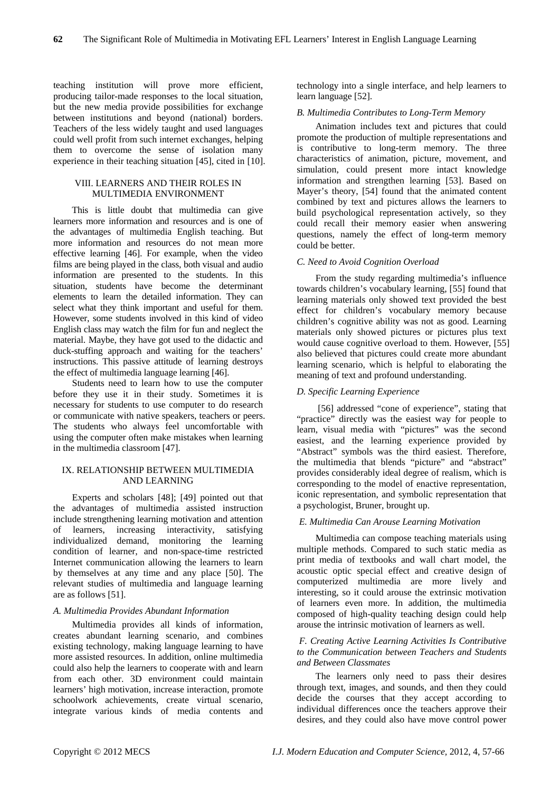teaching institution will prove more efficient, producing tailor-made responses to the local situation, but the new media provide possibilities for exchange between institutions and beyond (national) borders. Teachers of the less widely taught and used languages could well profit from such internet exchanges, helping them to overcome the sense of isolation many experience in their teaching situation [45], cited in [10].

# VIII. LEARNERS AND THEIR ROLES IN MULTIMEDIA ENVIRONMENT

This is little doubt that multimedia can give learners more information and resources and is one of the advantages of multimedia English teaching. But more information and resources do not mean more effective learning [46]. For example, when the video films are being played in the class, both visual and audio information are presented to the students. In this situation, students have become the determinant elements to learn the detailed information. They can select what they think important and useful for them. However, some students involved in this kind of video English class may watch the film for fun and neglect the material. Maybe, they have got used to the didactic and duck-stuffing approach and waiting for the teachers' instructions. This passive attitude of learning destroys the effect of multimedia language learning [46].

Students need to learn how to use the computer before they use it in their study. Sometimes it is necessary for students to use computer to do research or communicate with native speakers, teachers or peers. The students who always feel uncomfortable with using the computer often make mistakes when learning in the multimedia classroom [47].

# IX. RELATIONSHIP BETWEEN MULTIMEDIA AND LEARNING

Experts and scholars [48]; [49] pointed out that the advantages of multimedia assisted instruction include strengthening learning motivation and attention of learners, increasing interactivity, satisfying individualized demand, monitoring the learning condition of learner, and non-space-time restricted Internet communication allowing the learners to learn by themselves at any time and any place [50]. The relevant studies of multimedia and language learning are as follows [51].

# *A. Multimedia Provides Abundant Information*

Multimedia provides all kinds of information, creates abundant learning scenario, and combines existing technology, making language learning to have more assisted resources. In addition, online multimedia could also help the learners to cooperate with and learn from each other. 3D environment could maintain learners' high motivation, increase interaction, promote schoolwork achievements, create virtual scenario, integrate various kinds of media contents and

technology into a single interface, and help learners to learn language [52].

#### *B. Multimedia Contributes to Long-Term Memory*

Animation includes text and pictures that could promote the production of multiple representations and is contributive to long-term memory. The three characteristics of animation, picture, movement, and simulation, could present more intact knowledge information and strengthen learning [53]. Based on Mayer's theory, [54] found that the animated content combined by text and pictures allows the learners to build psychological representation actively, so they could recall their memory easier when answering questions, namely the effect of long-term memory could be better.

# *C. Need to Avoid Cognition Overload*

From the study regarding multimedia's influence towards children's vocabulary learning, [55] found that learning materials only showed text provided the best effect for children's vocabulary memory because children's cognitive ability was not as good. Learning materials only showed pictures or pictures plus text would cause cognitive overload to them. However, [55] also believed that pictures could create more abundant learning scenario, which is helpful to elaborating the meaning of text and profound understanding.

# *D. Specific Learning Experience*

[56] addressed "cone of experience", stating that "practice" directly was the easiest way for people to learn, visual media with "pictures" was the second easiest, and the learning experience provided by "Abstract" symbols was the third easiest. Therefore, the multimedia that blends "picture" and "abstract" provides considerably ideal degree of realism, which is corresponding to the model of enactive representation, iconic representation, and symbolic representation that a psychologist, Bruner, brought up.

# *E. Multimedia Can Arouse Learning Motivation*

Multimedia can compose teaching materials using multiple methods. Compared to such static media as print media of textbooks and wall chart model, the acoustic optic special effect and creative design of computerized multimedia are more lively and interesting, so it could arouse the extrinsic motivation of learners even more. In addition, the multimedia composed of high-quality teaching design could help arouse the intrinsic motivation of learners as well.

# *F. Creating Active Learning Activities Is Contributive to the Communication between Teachers and Students and Between Classmates*

The learners only need to pass their desires through text, images, and sounds, and then they could decide the courses that they accept according to individual differences once the teachers approve their desires, and they could also have move control power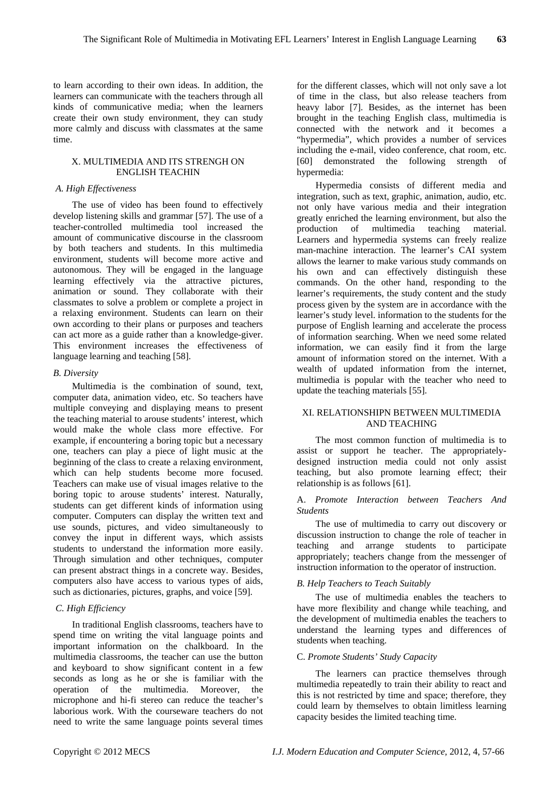to learn according to their own ideas. In addition, the learners can communicate with the teachers through all kinds of communicative media; when the learners create their own study environment, they can study more calmly and discuss with classmates at the same time.

# X. MULTIMEDIA AND ITS STRENGH ON ENGLISH TEACHIN

#### *A. High Effectiveness*

The use of video has been found to effectively develop listening skills and grammar [57]. The use of a teacher-controlled multimedia tool increased the amount of communicative discourse in the classroom by both teachers and students. In this multimedia environment, students will become more active and autonomous. They will be engaged in the language learning effectively via the attractive pictures, animation or sound. They collaborate with their classmates to solve a problem or complete a project in a relaxing environment. Students can learn on their own according to their plans or purposes and teachers can act more as a guide rather than a knowledge-giver. This environment increases the effectiveness of language learning and teaching [58].

# *B. Diversity*

Multimedia is the combination of sound, text, computer data, animation video, etc. So teachers have multiple conveying and displaying means to present the teaching material to arouse students' interest, which would make the whole class more effective. For example, if encountering a boring topic but a necessary one, teachers can play a piece of light music at the beginning of the class to create a relaxing environment, which can help students become more focused. Teachers can make use of visual images relative to the boring topic to arouse students' interest. Naturally, students can get different kinds of information using computer. Computers can display the written text and use sounds, pictures, and video simultaneously to convey the input in different ways, which assists students to understand the information more easily. Through simulation and other techniques, computer can present abstract things in a concrete way. Besides, computers also have access to various types of aids, such as dictionaries, pictures, graphs, and voice [59].

# *C. High Efficiency*

In traditional English classrooms, teachers have to spend time on writing the vital language points and important information on the chalkboard. In the multimedia classrooms, the teacher can use the button and keyboard to show significant content in a few seconds as long as he or she is familiar with the operation of the multimedia. Moreover, the microphone and hi-fi stereo can reduce the teacher's laborious work. With the courseware teachers do not need to write the same language points several times

for the different classes, which will not only save a lot of time in the class, but also release teachers from heavy labor [7]. Besides, as the internet has been brought in the teaching English class, multimedia is connected with the network and it becomes a "hypermedia", which provides a number of services including the e-mail, video conference, chat room, etc. [60] demonstrated the following strength of hypermedia:

Hypermedia consists of different media and integration, such as text, graphic, animation, audio, etc. not only have various media and their integration greatly enriched the learning environment, but also the production of multimedia teaching material. Learners and hypermedia systems can freely realize man-machine interaction. The learner's CAI system allows the learner to make various study commands on his own and can effectively distinguish these commands. On the other hand, responding to the learner's requirements, the study content and the study process given by the system are in accordance with the learner's study level. information to the students for the purpose of English learning and accelerate the process of information searching. When we need some related information, we can easily find it from the large amount of information stored on the internet. With a wealth of updated information from the internet, multimedia is popular with the teacher who need to update the teaching materials [55].

# XI. RELATIONSHIPN BETWEEN MULTIMEDIA AND TEACHING

The most common function of multimedia is to assist or support he teacher. The appropriatelydesigned instruction media could not only assist teaching, but also promote learning effect; their relationship is as follows [61].

# A. *Promote Interaction between Teachers And Students*

The use of multimedia to carry out discovery or discussion instruction to change the role of teacher in teaching and arrange students to participate appropriately; teachers change from the messenger of instruction information to the operator of instruction.

# *B. Help Teachers to Teach Suitably*

The use of multimedia enables the teachers to have more flexibility and change while teaching, and the development of multimedia enables the teachers to understand the learning types and differences of students when teaching.

# C. *Promote Students' Study Capacity*

The learners can practice themselves through multimedia repeatedly to train their ability to react and this is not restricted by time and space; therefore, they could learn by themselves to obtain limitless learning capacity besides the limited teaching time.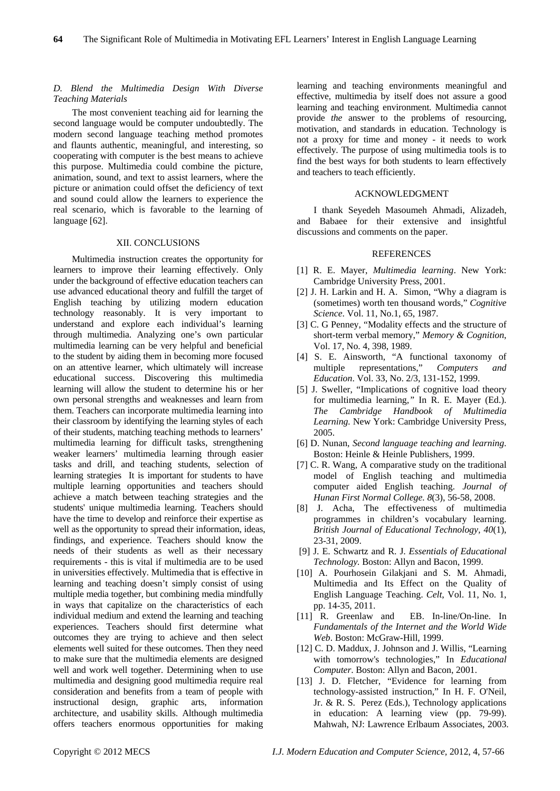# *D. Blend the Multimedia Design With Diverse Teaching Materials*

The most convenient teaching aid for learning the second language would be computer undoubtedly. The modern second language teaching method promotes and flaunts authentic, meaningful, and interesting, so cooperating with computer is the best means to achieve this purpose. Multimedia could combine the picture, animation, sound, and text to assist learners, where the picture or animation could offset the deficiency of text and sound could allow the learners to experience the real scenario, which is favorable to the learning of language [62].

#### XII. CONCLUSIONS

Multimedia instruction creates the opportunity for learners to improve their learning effectively. Only under the background of effective education teachers can use advanced educational theory and fulfill the target of English teaching by utilizing modern education technology reasonably. It is very important to understand and explore each individual's learning through multimedia. Analyzing one's own particular multimedia learning can be very helpful and beneficial to the student by aiding them in becoming more focused on an attentive learner, which ultimately will increase educational success. Discovering this multimedia learning will allow the student to determine his or her own personal strengths and weaknesses and learn from them. Teachers can incorporate multimedia learning into their classroom by identifying the learning styles of each of their students, matching teaching methods to learners' multimedia learning for difficult tasks, strengthening weaker learners' multimedia learning through easier tasks and drill, and teaching students, selection of learning strategies It is important for students to have multiple learning opportunities and teachers should achieve a match between teaching strategies and the students' unique multimedia learning. Teachers should have the time to develop and reinforce their expertise as well as the opportunity to spread their information, ideas, findings, and experience. Teachers should know the needs of their students as well as their necessary requirements - this is vital if multimedia are to be used in universities effectively. Multimedia that is effective in learning and teaching doesn't simply consist of using multiple media together, but combining media mindfully in ways that capitalize on the characteristics of each individual medium and extend the learning and teaching experiences. Teachers should first determine what outcomes they are trying to achieve and then select elements well suited for these outcomes. Then they need to make sure that the multimedia elements are designed well and work well together. Determining when to use multimedia and designing good multimedia require real consideration and benefits from a team of people with<br>instructional design, graphic arts, information instructional design, graphic arts, information architecture, and usability skills. Although multimedia offers teachers enormous opportunities for making

learning and teaching environments meaningful and effective, multimedia by itself does not assure a good learning and teaching environment. Multimedia cannot provide *the* answer to the problems of resourcing, motivation, and standards in education. Technology is not a proxy for time and money - it needs to work effectively. The purpose of using multimedia tools is to find the best ways for both students to learn effectively and teachers to teach efficiently.

#### ACKNOWLEDGMENT

I thank Seyedeh Masoumeh Ahmadi, Alizadeh, and Babaee for their extensive and insightful discussions and comments on the paper.

# **REFERENCES**

- [1] R. E. Mayer, *Multimedia learning*. New York: Cambridge University Press, 2001.
- [2] J. H. Larkin and H. A. Simon, "Why a diagram is (sometimes) worth ten thousand words," *Cognitive Science*. Vol. 11, No.1, 65, 1987.
- [3] C. G Penney, "Modality effects and the structure of short-term verbal memory," *Memory & Cognition*, Vol. 17, No. 4, 398, 1989.
- [4] S. E. Ainsworth, "A functional taxonomy of multiple representations," *Computers and Education*. Vol. 33, No. 2/3, 131-152, 1999.
- [5] J. Sweller, "Implications of cognitive load theory for multimedia learning*,"* In R. E. Mayer (Ed.). *The Cambridge Handbook of Multimedia Learning.* New York: Cambridge University Press, 2005.
- [6] D. Nunan, *Second language teaching and learning*. Boston: Heinle & Heinle Publishers, 1999.
- [7] C. R. Wang, A comparative study on the traditional model of English teaching and multimedia computer aided English teaching. *Journal of Hunan First Normal College. 8*(3), 56-58, 2008.
- [8] J. Acha, The effectiveness of multimedia programmes in children's vocabulary learning. *British Journal of Educational Technology, 40*(1), 23-31, 2009.
- [9] J. E. Schwartz and R. J. *Essentials of Educational Technology.* Boston: Allyn and Bacon, 1999.
- [10] A. Pourhosein Gilakjani and S. M. Ahmadi, Multimedia and Its Effect on the Quality of English Language Teaching. *Celt*, Vol. 11, No. 1, pp. 14-35, 2011.
- [11] R. Greenlaw and EB. In-line/On-line. In *Fundamentals of the Internet and the World Wide Web*. Boston: McGraw-Hill, 1999.
- [12] C. D. Maddux, J. Johnson and J. Willis, "Learning with tomorrow's technologies," In *Educational Computer*. Boston: Allyn and Bacon, 2001.
- [13] J. D. Fletcher, "Evidence for learning from technology-assisted instruction," In H. F. O'Neil, Jr. & R. S. Perez (Eds.), Technology applications in education: A learning view (pp. 79-99). Mahwah, NJ: Lawrence Erlbaum Associates, 2003.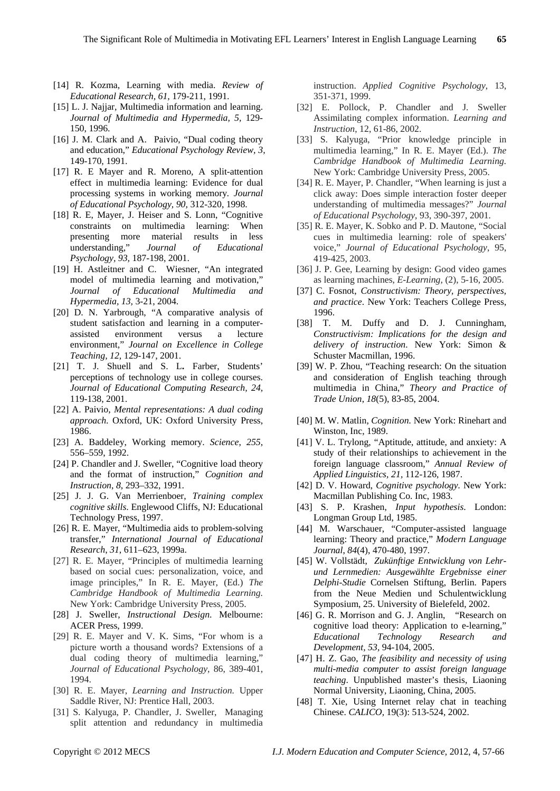- [14] R. Kozma, Learning with media. *Review of Educational Research, 61,* 179-211, 1991.
- [15] L. J. Najjar, Multimedia information and learning. *Journal of Multimedia and Hypermedia, 5,* 129- 150, 1996.
- [16] J. M. Clark and A. Paivio, "Dual coding theory and education," *Educational Psychology Review, 3,*  149-170, 1991.
- [17] R. E Mayer and R. Moreno, A split-attention effect in multimedia learning: Evidence for dual processing systems in working memory*. Journal of Educational Psychology, 90,* 312-320, 1998.
- [18] R. E, Mayer, J. Heiser and S. Lonn, "Cognitive constraints on multimedia learning: When presenting more material results in less understanding," *Journal of Educational Psychology, 93,* 187-198, 2001.
- [19] H. Astleitner and C. Wiesner, "An integrated model of multimedia learning and motivation," *Journal of Educational Multimedia and Hypermedia, 13,* 3-21, 2004.
- [20] D. N. Yarbrough, "A comparative analysis of student satisfaction and learning in a computerassisted environment versus a lecture environment," *Journal on Excellence in College Teaching, 12,* 129-147, 2001.
- [21] T. J. Shuell and S. L**.** Farber, Students' perceptions of technology use in college courses. *Journal of Educational Computing Research, 24,*  119-138, 2001.
- [22] A. Paivio, *Mental representations: A dual coding approach*. Oxford, UK: Oxford University Press, 1986.
- [23] A. Baddeley, Working memory. *Science*, *255*, 556–559, 1992.
- [24] P. Chandler and J. Sweller, "Cognitive load theory and the format of instruction," *Cognition and Instruction*, *8*, 293–332, 1991.
- [25] J. J. G. Van Merrienboer, *Training complex cognitive skills*. Englewood Cliffs, NJ: Educational Technology Press, 1997.
- [26] R. E. Mayer, "Multimedia aids to problem-solving transfer," *International Journal of Educational Research*, *31*, 611–623, 1999a.
- [27] R. E. Mayer, "Principles of multimedia learning based on social cues: personalization, voice, and image principles," In R. E. Mayer, (Ed.) *The Cambridge Handbook of Multimedia Learning.* New York: Cambridge University Press, 2005.
- [28] J. Sweller, *Instructional Design*. Melbourne: ACER Press, 1999.
- [29] R. E. Mayer and V. K. Sims, "For whom is a picture worth a thousand words? Extensions of a dual coding theory of multimedia learning," *Journal of Educational Psychology*, 86, 389-401, 1994.
- [30] R. E. Mayer, *Learning and Instruction.* Upper Saddle River, NJ: Prentice Hall, 2003.
- [31] S. Kalyuga, P. Chandler, J. Sweller, Managing split attention and redundancy in multimedia

instruction. *Applied Cognitive Psychology*, 13, 351-371, 1999.

- [32] E. Pollock, P. Chandler and J. Sweller Assimilating complex information. *Learning and Instruction*, 12, 61-86, 2002.
- [33] S. Kalyuga, "Prior knowledge principle in multimedia learning," In R. E. Mayer (Ed.). *The Cambridge Handbook of Multimedia Learning.* New York: Cambridge University Press, 2005.
- [34] R. E. Mayer, P. Chandler, "When learning is just a click away: Does simple interaction foster deeper understanding of multimedia messages?" *Journal of Educational Psychology*, 93, 390-397, 2001.
- [35] R. E. Mayer, K. Sobko and P. D. Mautone, "Social cues in multimedia learning: role of speakers' voice," *Journal of Educational Psychology*, 95, 419-425, 2003.
- [36] J. P. Gee, Learning by design: Good video games as learning machines, *E-Learning,* (2), 5-16, 2005.
- [37] C. Fosnot, *Constructivism: Theory, perspectives, and practice*. New York: Teachers College Press, 1996.
- [38] T. M. Duffy and D. J. Cunningham, *Constructivism: Implications for the design and delivery of instruction*. New York: Simon & Schuster Macmillan, 1996.
- [39] W. P. Zhou, "Teaching research: On the situation and consideration of English teaching through multimedia in China," *Theory and Practice of Trade Union*, *18*(5), 83-85, 2004.
- [40] M. W. Matlin, *Cognition.* New York: Rinehart and Winston, Inc, 1989.
- [41] V. L. Trylong, "Aptitude, attitude, and anxiety: A study of their relationships to achievement in the foreign language classroom," *Annual Review of Applied Linguistics, 21,* 112-126, 1987.
- [42] D. V. Howard, *Cognitive psychology.* New York: Macmillan Publishing Co. Inc, 1983.
- [43] S. P. Krashen, *Input hypothesis*. London: Longman Group Ltd, 1985.
- [44] M. Warschauer, "Computer-assisted language learning: Theory and practice," *Modern Language Journal*, *84*(4), 470-480, 1997.
- [45] W. Vollstädt, *Zukünftige Entwicklung von Lehrund Lernmedien: Ausgewählte Ergebnisse einer Delphi-Studie* Cornelsen Stiftung, Berlin. Papers from the Neue Medien und Schulentwicklung Symposium, 25. University of Bielefeld, 2002.
- [46] G. R. Morrison and G. J. Anglin, "Research on cognitive load theory: Application to e-learning," *Educational Technology Research and Development, 53,* 94-104, 2005.
- [47] H. Z. Gao, *The feasibility and necessity of using multi-media computer to assist foreign language teaching*. Unpublished master's thesis, Liaoning Normal University, Liaoning, China, 2005.
- [48] T. Xie, Using Internet relay chat in teaching Chinese. *CALICO,* 19(3): 513-524, 2002.